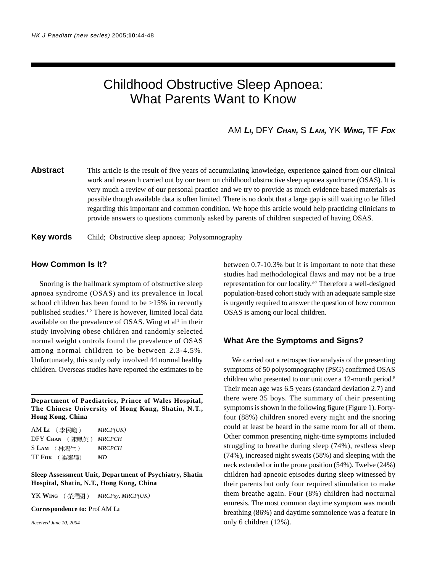# Childhood Obstructive Sleep Apnoea: What Parents Want to Know

# AM **L<sup>I</sup>,** DFY **CHAN,** S **LAM,** YK **WING,** TF **FOK**

# **Abstract** This article is the result of five years of accumulating knowledge, experience gained from our clinical work and research carried out by our team on childhood obstructive sleep apnoea syndrome (OSAS). It is very much a review of our personal practice and we try to provide as much evidence based materials as possible though available data is often limited. There is no doubt that a large gap is still waiting to be filled regarding this important and common condition. We hope this article would help practicing clinicians to provide answers to questions commonly asked by parents of children suspected of having OSAS.

**Key words** Child; Obstructive sleep apnoea; Polysomnography

## **How Common Is It?**

Snoring is the hallmark symptom of obstructive sleep apnoea syndrome (OSAS) and its prevalence in local school children has been found to be >15% in recently published studies.1,2 There is however, limited local data available on the prevalence of OSAS. Wing et al<sup>1</sup> in their study involving obese children and randomly selected normal weight controls found the prevalence of OSAS among normal children to be between 2.3-4.5%. Unfortunately, this study only involved 44 normal healthy children. Overseas studies have reported the estimates to be

**Department of Paediatrics, Prince of Wales Hospital, The Chinese University of Hong Kong, Shatin, N.T., Hong Kong, China**

| AMLI (李民瞻)                   | MRCP(UK)      |
|------------------------------|---------------|
| DFY Chan (陳鳳英) <i>MRCPCH</i> |               |
| $S$ $\mathbf{L}$ am ( 林鴻生 )  | <i>MRCPCH</i> |
| TF Fok ( 霍泰輝)                | MD            |

**Sleep Assessment Unit, Department of Psychiatry, Shatin Hospital, Shatin, N.T., Hong Kong, China**

YK **WING** *MRCPsy, MRCP(UK)*

**Correspondence to:** Prof AM **LI**

*Received June 10, 2004*

between 0.7-10.3% but it is important to note that these studies had methodological flaws and may not be a true representation for our locality.3-7 Therefore a well-designed population-based cohort study with an adequate sample size is urgently required to answer the question of how common OSAS is among our local children.

#### **What Are the Symptoms and Signs?**

We carried out a retrospective analysis of the presenting symptoms of 50 polysomnography (PSG) confirmed OSAS children who presented to our unit over a 12-month period.<sup>8</sup> Their mean age was 6.5 years (standard deviation 2.7) and there were 35 boys. The summary of their presenting symptoms is shown in the following figure (Figure 1). Fortyfour (88%) children snored every night and the snoring could at least be heard in the same room for all of them. Other common presenting night-time symptoms included struggling to breathe during sleep (74%), restless sleep (74%), increased night sweats (58%) and sleeping with the neck extended or in the prone position (54%). Twelve (24%) children had apneoic episodes during sleep witnessed by their parents but only four required stimulation to make them breathe again. Four (8%) children had nocturnal enuresis. The most common daytime symptom was mouth breathing (86%) and daytime somnolence was a feature in only 6 children (12%).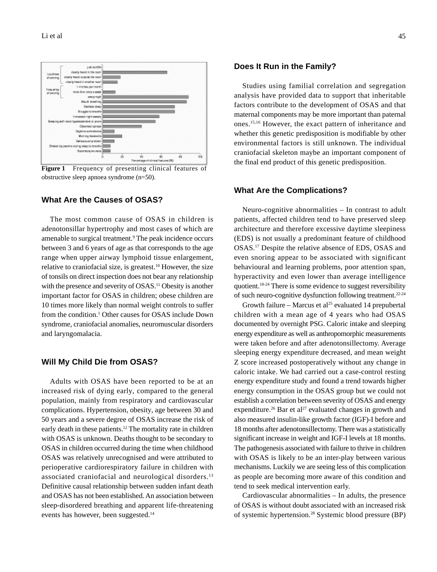

**Figure 1** Frequency of presenting clinical features of obstructive sleep apnoea syndrome (n=50).

### **What Are the Causes of OSAS?**

The most common cause of OSAS in children is adenotonsillar hypertrophy and most cases of which are amenable to surgical treatment.<sup>9</sup> The peak incidence occurs between 3 and 6 years of age as that corresponds to the age range when upper airway lymphoid tissue enlargement, relative to craniofacial size, is greatest.10 However, the size of tonsils on direct inspection does not bear any relationship with the presence and severity of OSAS.<sup>11</sup> Obesity is another important factor for OSAS in children; obese children are 10 times more likely than normal weight controls to suffer from the condition.1 Other causes for OSAS include Down syndrome, craniofacial anomalies, neuromuscular disorders and laryngomalacia.

#### **Will My Child Die from OSAS?**

Adults with OSAS have been reported to be at an increased risk of dying early, compared to the general population, mainly from respiratory and cardiovascular complications. Hypertension, obesity, age between 30 and 50 years and a severe degree of OSAS increase the risk of early death in these patients.12 The mortality rate in children with OSAS is unknown. Deaths thought to be secondary to OSAS in children occurred during the time when childhood OSAS was relatively unrecognised and were attributed to perioperative cardiorespiratory failure in children with associated craniofacial and neurological disorders.<sup>13</sup> Definitive causal relationship between sudden infant death and OSAS has not been established. An association between sleep-disordered breathing and apparent life-threatening events has however, been suggested.14

#### **Does It Run in the Family?**

Studies using familial correlation and segregation analysis have provided data to support that inheritable factors contribute to the development of OSAS and that maternal components may be more important than paternal ones.15,16 However, the exact pattern of inheritance and whether this genetic predisposition is modifiable by other environmental factors is still unknown. The individual craniofacial skeleton maybe an important component of the final end product of this genetic predisposition.

#### **What Are the Complications?**

Neuro-cognitive abnormalities – In contrast to adult patients, affected children tend to have preserved sleep architecture and therefore excessive daytime sleepiness (EDS) is not usually a predominant feature of childhood OSAS.17 Despite the relative absence of EDS, OSAS and even snoring appear to be associated with significant behavioural and learning problems, poor attention span, hyperactivity and even lower than average intelligence quotient.18-24 There is some evidence to suggest reversibility of such neuro-cognitive dysfunction following treatment.22-24

Growth failure – Marcus et al<sup>25</sup> evaluated 14 prepubertal children with a mean age of 4 years who had OSAS documented by overnight PSG. Caloric intake and sleeping energy expenditure as well as anthropomorphic measurements were taken before and after adenotonsillectomy. Average sleeping energy expenditure decreased, and mean weight Z score increased postoperatively without any change in caloric intake. We had carried out a case-control resting energy expenditure study and found a trend towards higher energy consumption in the OSAS group but we could not establish a correlation between severity of OSAS and energy expenditure.<sup>26</sup> Bar et al<sup>27</sup> evaluated changes in growth and also measured insulin-like growth factor (IGF)-I before and 18 months after adenotonsillectomy. There was a statistically significant increase in weight and IGF-I levels at 18 months. The pathogenesis associated with failure to thrive in children with OSAS is likely to be an inter-play between various mechanisms. Luckily we are seeing less of this complication as people are becoming more aware of this condition and tend to seek medical intervention early.

Cardiovascular abnormalities – In adults, the presence of OSAS is without doubt associated with an increased risk of systemic hypertension.28 Systemic blood pressure (BP)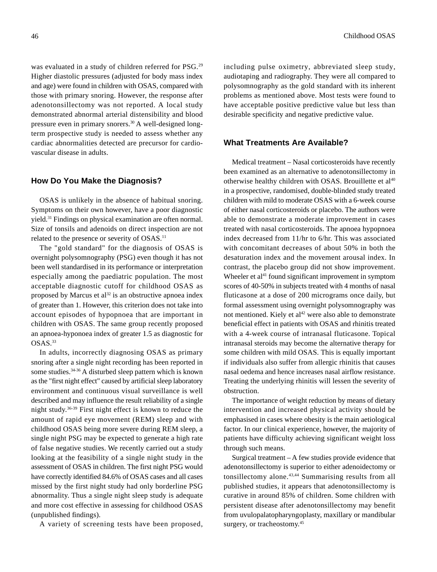was evaluated in a study of children referred for PSG.<sup>29</sup> Higher diastolic pressures (adjusted for body mass index and age) were found in children with OSAS, compared with those with primary snoring. However, the response after adenotonsillectomy was not reported. A local study demonstrated abnormal arterial distensibility and blood pressure even in primary snorers.30 A well-designed longterm prospective study is needed to assess whether any cardiac abnormalities detected are precursor for cardiovascular disease in adults.

#### **How Do You Make the Diagnosis?**

OSAS is unlikely in the absence of habitual snoring. Symptoms on their own however, have a poor diagnostic yield.31 Findings on physical examination are often normal. Size of tonsils and adenoids on direct inspection are not related to the presence or severity of OSAS.11

The "gold standard" for the diagnosis of OSAS is overnight polysomnography (PSG) even though it has not been well standardised in its performance or interpretation especially among the paediatric population. The most acceptable diagnostic cutoff for childhood OSAS as proposed by Marcus et  $al^{32}$  is an obstructive apnoea index of greater than 1. However, this criterion does not take into account episodes of hypopnoea that are important in children with OSAS. The same group recently proposed an apnoea-hyponoea index of greater 1.5 as diagnostic for OSAS.<sup>33</sup>

In adults, incorrectly diagnosing OSAS as primary snoring after a single night recording has been reported in some studies.34-36 A disturbed sleep pattern which is known as the "first night effect" caused by artificial sleep laboratory environment and continuous visual surveillance is well described and may influence the result reliability of a single night study.36-39 First night effect is known to reduce the amount of rapid eye movement (REM) sleep and with childhood OSAS being more severe during REM sleep, a single night PSG may be expected to generate a high rate of false negative studies. We recently carried out a study looking at the feasibility of a single night study in the assessment of OSAS in children. The first night PSG would have correctly identified 84.6% of OSAS cases and all cases missed by the first night study had only borderline PSG abnormality. Thus a single night sleep study is adequate and more cost effective in assessing for childhood OSAS (unpublished findings).

A variety of screening tests have been proposed,

including pulse oximetry, abbreviated sleep study, audiotaping and radiography. They were all compared to polysomnography as the gold standard with its inherent problems as mentioned above. Most tests were found to have acceptable positive predictive value but less than desirable specificity and negative predictive value.

#### **What Treatments Are Available?**

Medical treatment – Nasal corticosteroids have recently been examined as an alternative to adenotonsillectomy in otherwise healthy children with OSAS. Brouillette et al<sup>40</sup> in a prospective, randomised, double-blinded study treated children with mild to moderate OSAS with a 6-week course of either nasal corticosteroids or placebo. The authors were able to demonstrate a moderate improvement in cases treated with nasal corticosteroids. The apnoea hypopnoea index decreased from 11/hr to 6/hr. This was associated with concomitant decreases of about 50% in both the desaturation index and the movement arousal index. In contrast, the placebo group did not show improvement. Wheeler et al<sup>41</sup> found significant improvement in symptom scores of 40-50% in subjects treated with 4 months of nasal fluticasone at a dose of 200 micrograms once daily, but formal assessment using overnight polysomnography was not mentioned. Kiely et al<sup>42</sup> were also able to demonstrate beneficial effect in patients with OSAS and rhinitis treated with a 4-week course of intranasal fluticasone. Topical intranasal steroids may become the alternative therapy for some children with mild OSAS. This is equally important if individuals also suffer from allergic rhinitis that causes nasal oedema and hence increases nasal airflow resistance. Treating the underlying rhinitis will lessen the severity of obstruction.

The importance of weight reduction by means of dietary intervention and increased physical activity should be emphasised in cases where obesity is the main aetiological factor. In our clinical experience, however, the majority of patients have difficulty achieving significant weight loss through such means.

Surgical treatment – A few studies provide evidence that adenotonsillectomy is superior to either adenoidectomy or tonsillectomy alone.43,44 Summarising results from all published studies, it appears that adenotonsillectomy is curative in around 85% of children. Some children with persistent disease after adenotonsillectomy may benefit from uvulopalatopharyngoplasty, maxillary or mandibular surgery, or tracheostomy.<sup>45</sup>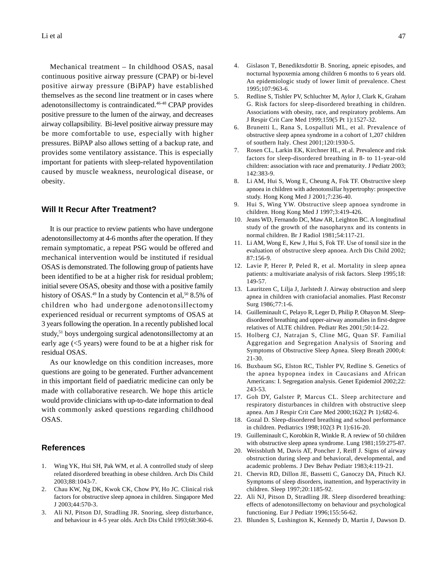Mechanical treatment – In childhood OSAS, nasal continuous positive airway pressure (CPAP) or bi-level positive airway pressure (BiPAP) have established themselves as the second line treatment or in cases where adenotonsillectomy is contraindicated.46-48 CPAP provides positive pressure to the lumen of the airway, and decreases airway collapsibility. Bi-level positive airway pressure may be more comfortable to use, especially with higher pressures. BiPAP also allows setting of a backup rate, and provides some ventilatory assistance. This is especially important for patients with sleep-related hypoventilation caused by muscle weakness, neurological disease, or obesity.

#### **Will It Recur After Treatment?**

It is our practice to review patients who have undergone adenotonsillectomy at 4-6 months after the operation. If they remain symptomatic, a repeat PSG would be offered and mechanical intervention would be instituted if residual OSAS is demonstrated. The following group of patients have been identified to be at a higher risk for residual problem; initial severe OSAS, obesity and those with a positive family history of OSAS.<sup>49</sup> In a study by Contencin et al,<sup>50</sup> 8.5% of children who had undergone adenotonsillectomy experienced residual or recurrent symptoms of OSAS at 3 years following the operation. In a recently published local study,<sup>51</sup> boys undergoing surgical adenotonsillectomy at an early age (<5 years) were found to be at a higher risk for residual OSAS.

As our knowledge on this condition increases, more questions are going to be generated. Further advancement in this important field of paediatric medicine can only be made with collaborative research. We hope this article would provide clinicians with up-to-date information to deal with commonly asked questions regarding childhood OSAS.

#### **References**

- 1. Wing YK, Hui SH, Pak WM, et al. A controlled study of sleep related disordered breathing in obese children. Arch Dis Child 2003;88:1043-7.
- 2. Chau KW, Ng DK, Kwok CK, Chow PY, Ho JC. Clinical risk factors for obstructive sleep apnoea in children. Singapore Med J 2003;44:570-3.
- 3. Ali NJ, Pitson DJ, Stradling JR. Snoring, sleep disturbance, and behaviour in 4-5 year olds. Arch Dis Child 1993;68:360-6.
- 4. Gislason T, Benediktsdottir B. Snoring, apneic episodes, and nocturnal hypoxemia among children 6 months to 6 years old. An epidemiologic study of lower limit of prevalence. Chest 1995;107:963-6.
- 5. Redline S, Tishler PV, Schluchter M, Aylor J, Clark K, Graham G. Risk factors for sleep-disordered breathing in children. Associations with obesity, race, and respiratory problems. Am J Respir Crit Care Med 1999;159(5 Pt 1):1527-32.
- 6. Brunetti L, Rana S, Lospalluti ML, et al. Prevalence of obstructive sleep apnea syndrome in a cohort of 1,207 children of southern Italy. Chest 2001;120:1930-5.
- 7. Rosen CL, Larkin EK, Kirchner HL, et al. Prevalence and risk factors for sleep-disordered breathing in 8- to 11-year-old children: association with race and prematurity. J Pediatr 2003; 142:383-9.
- 8. Li AM, Hui S, Wong E, Cheung A, Fok TF. Obstructive sleep apnoea in children with adenotonsillar hypertrophy: prospective study. Hong Kong Med J 2001;7:236-40.
- 9. Hui S, Wing YW. Obstructive sleep apnoea syndrome in children. Hong Kong Med J 1997;3:419-426.
- 10. Jeans WD, Fernando DC, Maw AR, Leighton BC. A longitudinal study of the growth of the nasopharynx and its contents in normal children. Br J Radiol 1981;54:117-21.
- 11. Li AM, Wong E, Kew J, Hui S, Fok TF. Use of tonsil size in the evaluation of obstructive sleep apnoea. Arch Dis Child 2002; 87:156-9.
- 12. Lavie P, Herer P, Peled R, et al. Mortality in sleep apnea patients: a multivariate analysis of risk factors. Sleep 1995;18: 149-57.
- 13. Lauritzen C, Lilja J, Jarlstedt J. Airway obstruction and sleep apnea in children with craniofacial anomalies. Plast Reconstr Surg 1986;77:1-6.
- 14. Guilleminault C, Pelayo R, Leger D, Philip P, Ohayon M. Sleepdisordered breathing and upper-airway anomalies in first-degree relatives of ALTE children. Pediatr Res 2001;50:14-22.
- 15. Holberg CJ, Natrajan S, Cline MG, Quan SF. Familial Aggregation and Segregation Analysis of Snoring and Symptoms of Obstructive Sleep Apnea. Sleep Breath 2000;4: 21-30.
- 16. Buxbaum SG, Elston RC, Tishler PV, Redline S. Genetics of the apnea hypopnea index in Caucasians and African Americans: I. Segregation analysis. Genet Epidemiol 2002;22: 243-53.
- 17. Goh DY, Galster P, Marcus CL. Sleep architecture and respiratory disturbances in children with obstructive sleep apnea. Am J Respir Crit Care Med 2000;162(2 Pt 1):682-6.
- 18. Gozal D. Sleep-disordered breathing and school performance in children. Pediatrics 1998;102(3 Pt 1):616-20.
- 19. Guilleminault C, Korobkin R, Winkle R. A review of 50 children with obstructive sleep apnea syndrome. Lung 1981;159:275-87.
- 20. Weissbluth M, Davis AT, Poncher J, Reiff J. Signs of airway obstruction during sleep and behavioral, developmental, and academic problems. J Dev Behav Pediatr 1983;4:119-21.
- 21. Chervin RD, Dillon JE, Bassetti C, Ganoczy DA, Pituch KJ. Symptoms of sleep disorders, inattention, and hyperactivity in children. Sleep 1997;20:1185-92.
- 22. Ali NJ, Pitson D, Stradling JR. Sleep disordered breathing: effects of adenotonsillectomy on behaviour and psychological functioning. Eur J Pediatr 1996;155:56-62.
- 23. Blunden S, Lushington K, Kennedy D, Martin J, Dawson D.